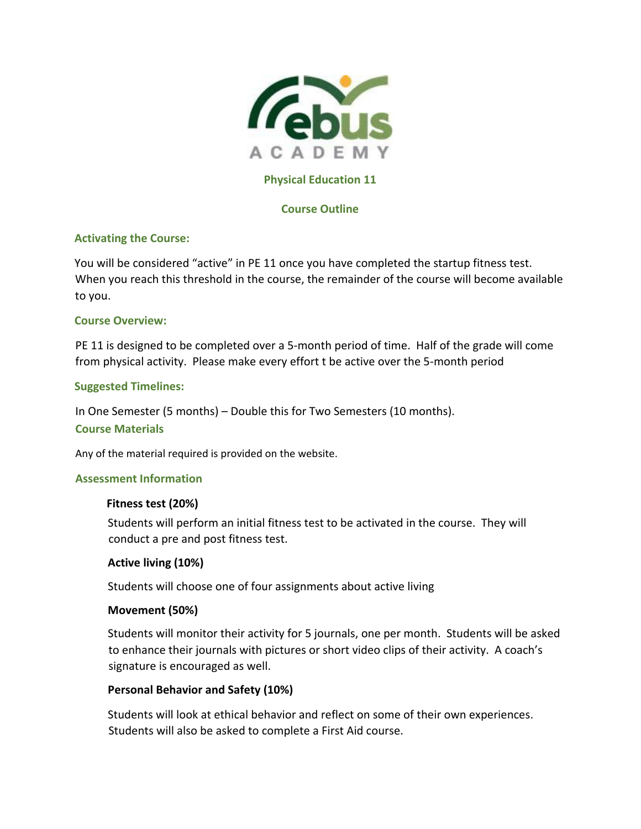

# **Physical Education 11**

# **Course Outline**

# **Activating the Course:**

You will be considered "active" in PE 11 once you have completed the startup fitness test. When you reach this threshold in the course, the remainder of the course will become available to you.

#### **Course Overview:**

PE 11 is designed to be completed over a 5-month period of time. Half of the grade will come from physical activity. Please make every effort t be active over the 5-month period

# **Suggested Timelines:**

In One Semester (5 months) – Double this for Two Semesters (10 months).

#### **Course Materials**

Any of the material required is provided on the website.

#### **Assessment Information**

#### **Fitness test (20%)**

Students will perform an initial fitness test to be activated in the course. They will conduct a pre and post fitness test.

#### **Active living (10%)**

Students will choose one of four assignments about active living

#### **Movement (50%)**

Students will monitor their activity for 5 journals, one per month. Students will be asked to enhance their journals with pictures or short video clips of their activity. A coach's signature is encouraged as well.

# **Personal Behavior and Safety (10%)**

Students will look at ethical behavior and reflect on some of their own experiences. Students will also be asked to complete a First Aid course.